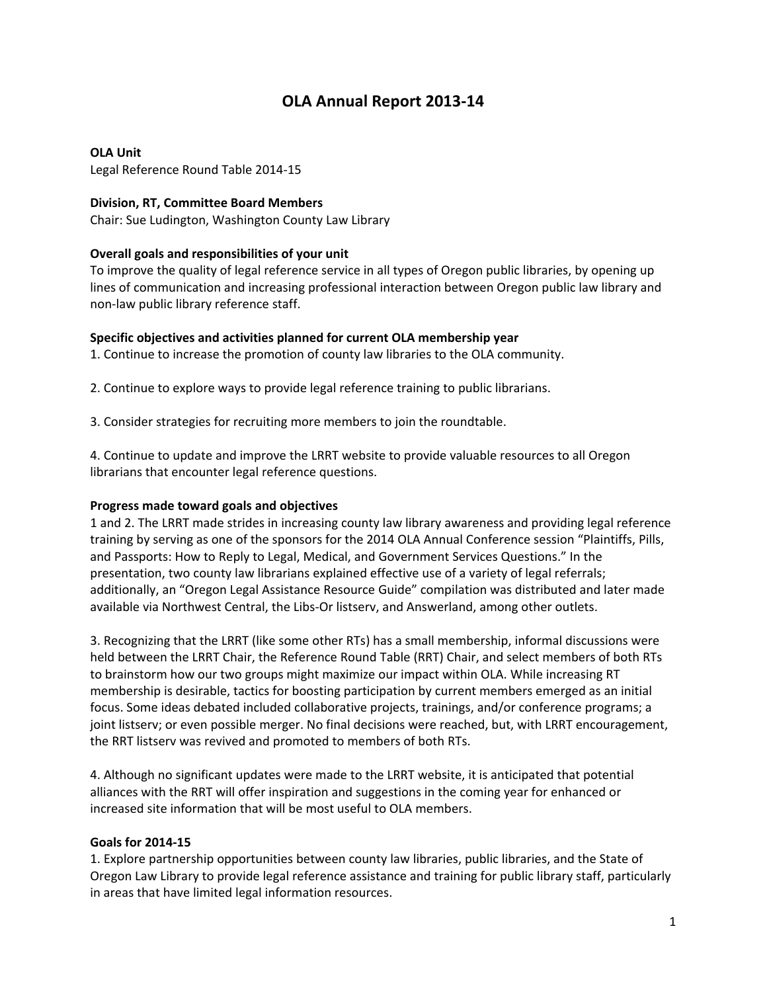# **OLA Annual Report 2013‐14**

#### **OLA Unit**

Legal Reference Round Table 2014‐15

#### **Division, RT, Committee Board Members**

Chair: Sue Ludington, Washington County Law Library

#### **Overall goals and responsibilities of your unit**

To improve the quality of legal reference service in all types of Oregon public libraries, by opening up lines of communication and increasing professional interaction between Oregon public law library and non‐law public library reference staff.

#### **Specific objectives and activities planned for current OLA membership year**

1. Continue to increase the promotion of county law libraries to the OLA community.

2. Continue to explore ways to provide legal reference training to public librarians.

3. Consider strategies for recruiting more members to join the roundtable.

4. Continue to update and improve the LRRT website to provide valuable resources to all Oregon librarians that encounter legal reference questions.

### **Progress made toward goals and objectives**

1 and 2. The LRRT made strides in increasing county law library awareness and providing legal reference training by serving as one of the sponsors for the 2014 OLA Annual Conference session "Plaintiffs, Pills, and Passports: How to Reply to Legal, Medical, and Government Services Questions." In the presentation, two county law librarians explained effective use of a variety of legal referrals; additionally, an "Oregon Legal Assistance Resource Guide" compilation was distributed and later made available via Northwest Central, the Libs‐Or listserv, and Answerland, among other outlets.

3. Recognizing that the LRRT (like some other RTs) has a small membership, informal discussions were held between the LRRT Chair, the Reference Round Table (RRT) Chair, and select members of both RTs to brainstorm how our two groups might maximize our impact within OLA. While increasing RT membership is desirable, tactics for boosting participation by current members emerged as an initial focus. Some ideas debated included collaborative projects, trainings, and/or conference programs; a joint listserv; or even possible merger. No final decisions were reached, but, with LRRT encouragement, the RRT listserv was revived and promoted to members of both RTs.

4. Although no significant updates were made to the LRRT website, it is anticipated that potential alliances with the RRT will offer inspiration and suggestions in the coming year for enhanced or increased site information that will be most useful to OLA members.

#### **Goals for 2014‐15**

1. Explore partnership opportunities between county law libraries, public libraries, and the State of Oregon Law Library to provide legal reference assistance and training for public library staff, particularly in areas that have limited legal information resources.